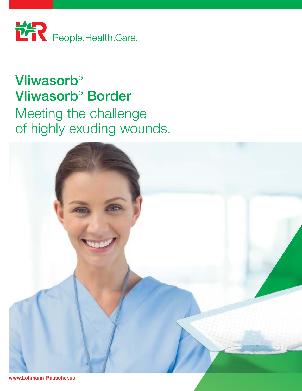

## **Vliwasorb®** Vliwasorb® Border Meeting the challenge of highly exuding wounds.



www.Lohmann-Rauscher.us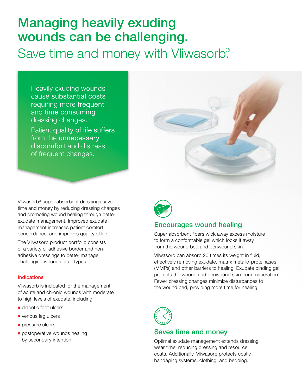## Managing heavily exuding wounds can be challenging. Save time and money with Vliwasorb.<sup>®</sup>

Heavily exuding wounds cause substantial costs requiring more frequent and time consuming dressing changes. Patient quality of life suffers from the unnecessary discomfort and distress of frequent changes.



Vliwasorb® super absorbent dressings save time and money by reducing dressing changes and promoting wound healing through better exudate management. Improved exudate management increases patient comfort, concordance, and improves quality of life.

The Vliwasorb product portfolio consists of a variety of adhesive border and nonadhesive dressings to better manage challenging wounds of all types.

#### Indications

Vliwasorb is indicated for the management of acute and chronic wounds with moderate to high levels of exudate, including:

- diabetic foot ulcers
- venous leg ulcers
- pressure ulcers
- postoperative wounds healing by secondary intention



## Encourages wound healing

Super absorbent fibers wick away excess moisture to form a conformable gel which locks it away from the wound bed and periwound skin.

Vliwasorb can absorb 20 times its weight in fluid, effectively removing exudate, matrix metallo-proteinases (MMPs) and other barriers to healing. Exudate binding gel protects the wound and periwound skin from maceration. Fewer dressing changes minimize disturbances to the wound bed, providing more time for healing.<sup>1</sup>



## Saves time and money

Optimal exudate management extends dressing wear time, reducing dressing and resource costs. Additionally, Vliwasorb protects costly bandaging systems, clothing, and bedding.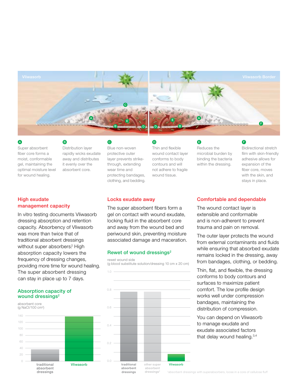

Super absorbent fiber core forms a moist, conformable gel, maintaining the optimal moisture level for wound healing.

Distribution layer rapidly wicks exudate away and distributes it evenly over the A B B C D E F

absorbent core.

### High exudate management capacity

In vitro testing documents Vliwasorb dressing absorption and retention capacity. Absorbency of Vliwasorb was more than twice that of traditional absorbent dressings without super absorbers? High absorption capacity lowers the frequency of dressing changes, providing more time for wound healing. The super absorbent dressing can stay in place up to 7 days.

#### Absorption capacity of wound dressings<sup>2</sup>



Blue non-woven protective outer layer prevents strikethrough, extending wear time and protecting bandages, clothing, and bedding.

| Thin and flexible     |
|-----------------------|
| wound contact layer   |
| conforms to body      |
| contours and will     |
| not adhere to fragile |

wound tissue.

Reduces the microbial burden by binding the bacteria within the dressing.

Bidirectional stretch film with skin-friendly adhesive allows for expansion of the fiber core, moves with the skin, and stays in place.

### Locks exudate away

The super absorbent fibers form a gel on contact with wound exudate, locking fluid in the absorbent core and away from the wound bed and periwound skin, preventing moisture associated damage and maceration.

### Rewet of wound dressings<sup>2</sup>

rewet wound side

1.0

(g blood substitute solution/dressing 10 cm x 20 cm)



### Comfortable and dependable

The wound contact layer is extensible and conformable and is non-adherent to prevent trauma and pain on removal.

The outer layer protects the wound from external contaminants and fluids while ensuring that absorbed exudate remains locked in the dressing, away from bandages, clothing, or bedding.

Thin, flat, and flexible, the dressing conforms to body contours and surfaces to maximize patient comfort. The low profile design works well under compression bandages, maintaining the distribution of compression.

You can depend on Vliwasorb to manage exudate and exudate associated factors that delay wound healing.<sup>3,4</sup>

† absorbent dressings with superabsorbers, loose in a core of cellulose fluff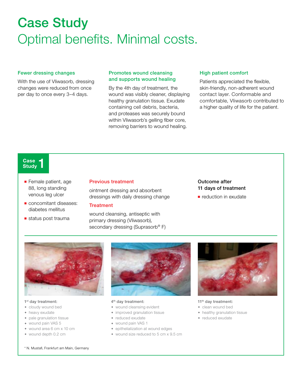# Case Study Optimal benefits. Minimal costs.

#### Fewer dressing changes

With the use of Vliwasorb, dressing changes were reduced from once per day to once every 3–4 days.

#### Promotes wound cleansing and supports wound healing

By the 4th day of treatment, the wound was visibly cleaner, displaying healthy granulation tissue. Exudate containing cell debris, bacteria, and proteases was securely bound within Vliwasorb's gelling fiber core, removing barriers to wound healing.

#### High patient comfort

Patients appreciated the flexible, skin-friendly, non-adherent wound contact layer. Conformable and comfortable, Vliwasorb contributed to a higher quality of life for the patient.

#### Case -**Study**

- Female patient, age 88, long standing venous leg ulcer
- concomitant diseases: diabetes mellitus
- status post trauma

#### Previous treatment

ointment dressing and absorbent dressings with daily dressing change

#### **Treatment**

wound cleansing, antiseptic with primary dressing (Vliwasorb), secondary dressing (Suprasorb® F)

### Outcome after 11 days of treatment

■ reduction in exudate



#### 1<sup>st</sup> day treatment:

- ◆ cloudy wound bed
- ◆ heavy exudate
- ◆ pale granulation tissue
- ◆ wound pain VAS 5
- ◆ wound area 6 cm x 10 cm
- ◆ wound depth 0.2 cm

#### 4th day treatment:

- ◆ wound cleansing evident
- ◆ improved granulation tissue
- ◆ reduced exudate
- ◆ wound pain VAS 1
- ◆ epithelialization at wound edges
- ◆ wound size reduced to 5 cm x 9.5 cm



11<sup>th</sup> day treatment:

- ◆ clean wound bed
- ◆ healthy granulation tissue
- ◆ reduced exudate

\* N. Mustafi, Frankfurt am Main, Germany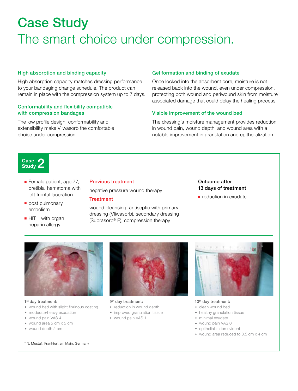# Case Study The smart choice under compression.

#### High absorption and binding capacity

High absorption capacity matches dressing performance to your bandaging change schedule. The product can remain in place with the compression system up to 7 days.

#### Conformability and flexibility compatible with compression bandages

The low profile design, conformability and extensibility make Vliwasorb the comfortable choice under compression.

#### Gel formation and binding of exudate

Once locked into the absorbent core, moisture is not released back into the wound, even under compression, protecting both wound and periwound skin from moisture associated damage that could delay the healing process.

#### Visible improvement of the wound bed

The dressing's moisture management provides reduction in wound pain, wound depth, and wound area with a notable improvement in granulation and epithelialization.



- Female patient, age 77, pretibial hematoma with left frontal laceration
- post pulmonary embolism
- HIT II with organ heparin allergy

#### Previous treatment

negative pressure wound therapy

9<sup>th</sup> day treatment:

◆ reduction in wound depth ◆ improved granulation tissue ◆ wound pain VAS 1

#### **Treatment**

wound cleansing, antiseptic with primary dressing (Vliwasorb), secondary dressing (Suprasorb® F), compression therapy

Outcome after 13 days of treatment

■ reduction in exudate



#### 1<sup>st</sup> day treatment:

- ◆ wound bed with slight fibrinous coating
- ◆ moderate/heavy exudation
- ◆ wound pain VAS 4
- ◆ wound area 5 cm x 5 cm
- ◆ wound depth 2 cm





#### 13<sup>th</sup> day treatment:

- ◆ clean wound bed
- ◆ healthy granulation tissue
- ◆ minimal exudate
- ◆ wound pain VAS 0
- ◆ epithelialization evident
- ◆ wound area reduced to 3.5 cm x 4 cm

\* N. Mustafi, Frankfurt am Main, Germany